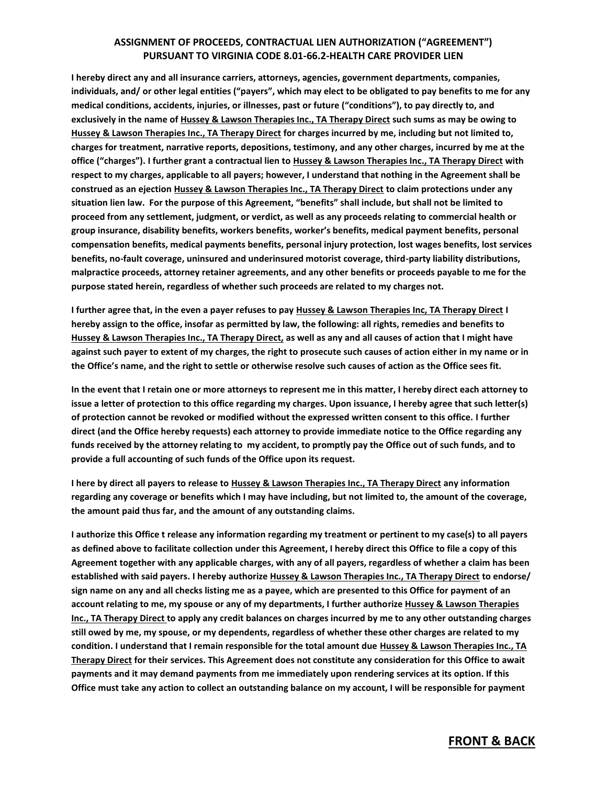## **ASSIGNMENT OF PROCEEDS, CONTRACTUAL LIEN AUTHORIZATION ("AGREEMENT") PURSUANT TO VIRGINIA CODE 8.01-66.2-HEALTH CARE PROVIDER LIEN**

**I hereby direct any and all insurance carriers, attorneys, agencies, government departments, companies, individuals, and/ or other legal entities ("payers", which may elect to be obligated to pay benefits to me for any medical conditions, accidents, injuries, or illnesses, past or future ("conditions"), to pay directly to, and exclusively in the name of Hussey & Lawson Therapies Inc., TA Therapy Direct such sums as may be owing to Hussey & Lawson Therapies Inc., TA Therapy Direct for charges incurred by me, including but not limited to, charges for treatment, narrative reports, depositions, testimony, and any other charges, incurred by me at the office ("charges"). I further grant a contractual lien to Hussey & Lawson Therapies Inc., TA Therapy Direct with respect to my charges, applicable to all payers; however, I understand that nothing in the Agreement shall be construed as an ejection Hussey & Lawson Therapies Inc., TA Therapy Direct to claim protections under any situation lien law. For the purpose of this Agreement, "benefits" shall include, but shall not be limited to proceed from any settlement, judgment, or verdict, as well as any proceeds relating to commercial health or group insurance, disability benefits, workers benefits, worker's benefits, medical payment benefits, personal compensation benefits, medical payments benefits, personal injury protection, lost wages benefits, lost services benefits, no-fault coverage, uninsured and underinsured motorist coverage, third-party liability distributions, malpractice proceeds, attorney retainer agreements, and any other benefits or proceeds payable to me for the purpose stated herein, regardless of whether such proceeds are related to my charges not.** 

**I further agree that, in the even a payer refuses to pay Hussey & Lawson Therapies Inc, TA Therapy Direct I hereby assign to the office, insofar as permitted by law, the following: all rights, remedies and benefits to Hussey & Lawson Therapies Inc., TA Therapy Direct, as well as any and all causes of action that I might have against such payer to extent of my charges, the right to prosecute such causes of action either in my name or in the Office's name, and the right to settle or otherwise resolve such causes of action as the Office sees fit.** 

**In the event that I retain one or more attorneys to represent me in this matter, I hereby direct each attorney to issue a letter of protection to this office regarding my charges. Upon issuance, I hereby agree that such letter(s) of protection cannot be revoked or modified without the expressed written consent to this office. I further direct (and the Office hereby requests) each attorney to provide immediate notice to the Office regarding any funds received by the attorney relating to my accident, to promptly pay the Office out of such funds, and to provide a full accounting of such funds of the Office upon its request.** 

**I here by direct all payers to release to Hussey & Lawson Therapies Inc., TA Therapy Direct any information regarding any coverage or benefits which I may have including, but not limited to, the amount of the coverage, the amount paid thus far, and the amount of any outstanding claims.** 

**I authorize this Office t release any information regarding my treatment or pertinent to my case(s) to all payers as defined above to facilitate collection under this Agreement, I hereby direct this Office to file a copy of this Agreement together with any applicable charges, with any of all payers, regardless of whether a claim has been established with said payers. I hereby authorize Hussey & Lawson Therapies Inc., TA Therapy Direct to endorse/ sign name on any and all checks listing me as a payee, which are presented to this Office for payment of an account relating to me, my spouse or any of my departments, I further authorize Hussey & Lawson Therapies Inc., TA Therapy Direct to apply any credit balances on charges incurred by me to any other outstanding charges still owed by me, my spouse, or my dependents, regardless of whether these other charges are related to my condition. I understand that I remain responsible for the total amount due Hussey & Lawson Therapies Inc., TA Therapy Direct for their services. This Agreement does not constitute any consideration for this Office to await payments and it may demand payments from me immediately upon rendering services at its option. If this Office must take any action to collect an outstanding balance on my account, I will be responsible for payment** 

## **FRONT & BACK**